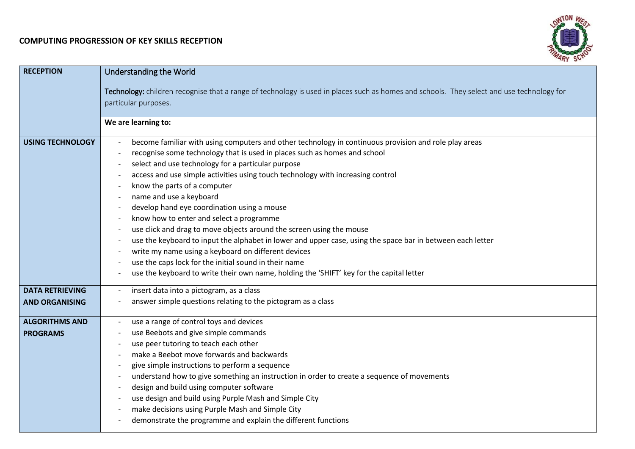## **COMPUTING PROGRESSION OF KEY SKILLS RECEPTION**



| <b>RECEPTION</b>        | <b>Understanding the World</b>                                                                                                            |
|-------------------------|-------------------------------------------------------------------------------------------------------------------------------------------|
|                         | Technology: children recognise that a range of technology is used in places such as homes and schools. They select and use technology for |
|                         | particular purposes.                                                                                                                      |
|                         |                                                                                                                                           |
|                         | We are learning to:                                                                                                                       |
| <b>USING TECHNOLOGY</b> | become familiar with using computers and other technology in continuous provision and role play areas                                     |
|                         | recognise some technology that is used in places such as homes and school                                                                 |
|                         | select and use technology for a particular purpose                                                                                        |
|                         | access and use simple activities using touch technology with increasing control                                                           |
|                         | know the parts of a computer                                                                                                              |
|                         | name and use a keyboard                                                                                                                   |
|                         | develop hand eye coordination using a mouse                                                                                               |
|                         | know how to enter and select a programme                                                                                                  |
|                         | use click and drag to move objects around the screen using the mouse                                                                      |
|                         | use the keyboard to input the alphabet in lower and upper case, using the space bar in between each letter                                |
|                         | write my name using a keyboard on different devices                                                                                       |
|                         | use the caps lock for the initial sound in their name                                                                                     |
|                         | use the keyboard to write their own name, holding the 'SHIFT' key for the capital letter                                                  |
| <b>DATA RETRIEVING</b>  | insert data into a pictogram, as a class                                                                                                  |
| <b>AND ORGANISING</b>   | answer simple questions relating to the pictogram as a class                                                                              |
| <b>ALGORITHMS AND</b>   | use a range of control toys and devices                                                                                                   |
| <b>PROGRAMS</b>         | use Beebots and give simple commands                                                                                                      |
|                         | use peer tutoring to teach each other                                                                                                     |
|                         | make a Beebot move forwards and backwards                                                                                                 |
|                         | give simple instructions to perform a sequence                                                                                            |
|                         | understand how to give something an instruction in order to create a sequence of movements                                                |
|                         | design and build using computer software                                                                                                  |
|                         | use design and build using Purple Mash and Simple City                                                                                    |
|                         | make decisions using Purple Mash and Simple City                                                                                          |
|                         | demonstrate the programme and explain the different functions                                                                             |